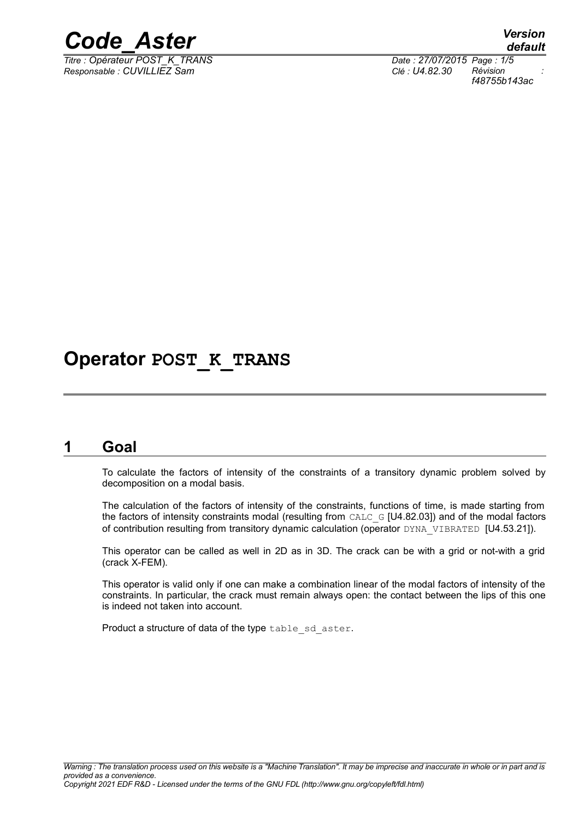

*Titre : Opérateur POST\_K\_TRANS Date : 27/07/2015 Page : 1/5 Responsable : CUVILLIEZ Sam Clé : U4.82.30 Révision :*

*default f48755b143ac*

## **Operator POST\_K\_TRANS**

### **1 Goal**

To calculate the factors of intensity of the constraints of a transitory dynamic problem solved by decomposition on a modal basis.

The calculation of the factors of intensity of the constraints, functions of time, is made starting from the factors of intensity constraints modal (resulting from CALC\_G [U4.82.03]) and of the modal factors of contribution resulting from transitory dynamic calculation (operator DYNA\_VIBRATED [U4.53.21]).

This operator can be called as well in 2D as in 3D. The crack can be with a grid or not-with a grid (crack X-FEM).

This operator is valid only if one can make a combination linear of the modal factors of intensity of the constraints. In particular, the crack must remain always open: the contact between the lips of this one is indeed not taken into account.

Product a structure of data of the type table sd aster.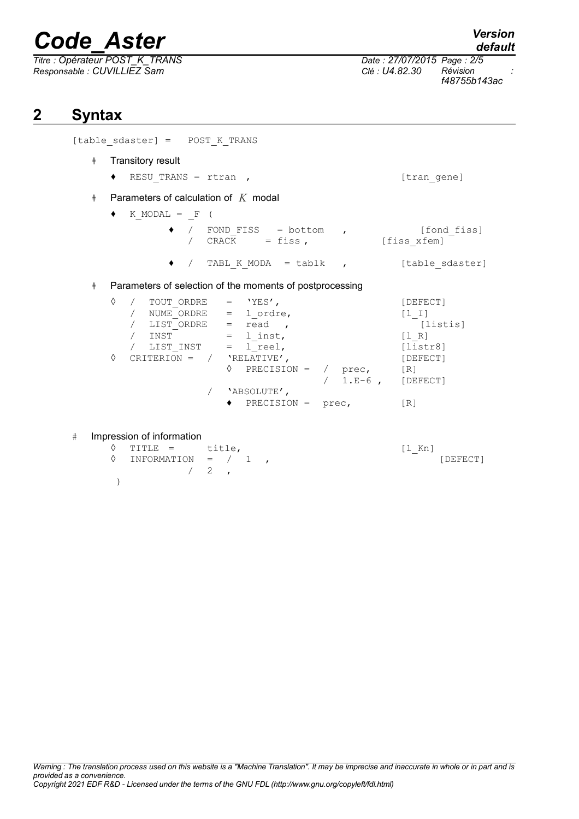$\overline{T}$ itre : Opérateur POST\_K\_TRANS *Responsable : CUVILLIEZ Sam Clé : U4.82.30 Révision :*

*default*

*f48755b143ac*

## **2 Syntax**

[table sdaster] = POST K TRANS

- # Transitory result
	- ♦ RESU\_TRANS = rtran , [tran\_gene]
		-

# Parameters of calculation of *K* modal

 $\bullet$  K MODAL = F (

- ♦ / FOND\_FISS = bottom , [fond\_fiss] / CRACK = fiss, [fiss\_xfem]
	- $\bullet$  / TABL K MODA = tablk , [table sdaster]

#### # Parameters of selection of the moments of postprocessing

| ♦ |  | TOUT ORDRE       |     | 'YES'         |          |         | [DEFECT]                              |
|---|--|------------------|-----|---------------|----------|---------|---------------------------------------|
|   |  | NUME ORDRE       | $=$ | 1 ordre,      |          |         | $\begin{bmatrix} 1 & 1 \end{bmatrix}$ |
|   |  | LIST ORDRE       | $=$ | read          |          |         | [listis]                              |
|   |  | INST             | $=$ | 1 inst,       |          |         | $\begin{bmatrix} 1 & R \end{bmatrix}$ |
|   |  | LIST INST        | $=$ | l reel,       |          |         | [liststr8]                            |
| ♦ |  | CRITERION<br>$=$ |     | 'RELATIVE',   | [DEFECT] |         |                                       |
|   |  |                  | ♦   | PRECISION =   |          | prec,   | [R]                                   |
|   |  |                  |     |               |          | $1.E-6$ | [DEFECT]                              |
|   |  |                  |     | 'ABSOLUTE',   |          |         |                                       |
|   |  |                  |     | $PRECISION =$ |          | prec,   | [R]                                   |

#### # Impression of information

| $\Diamond$ TITLE = title,               |  |  | $\lceil 1$ Kn] |          |
|-----------------------------------------|--|--|----------------|----------|
| $\Diamond$ INFORMATION = $/$ 1,         |  |  |                | [DEFECT] |
| $\begin{array}{cccc} 2 & . \end{array}$ |  |  |                |          |
|                                         |  |  |                |          |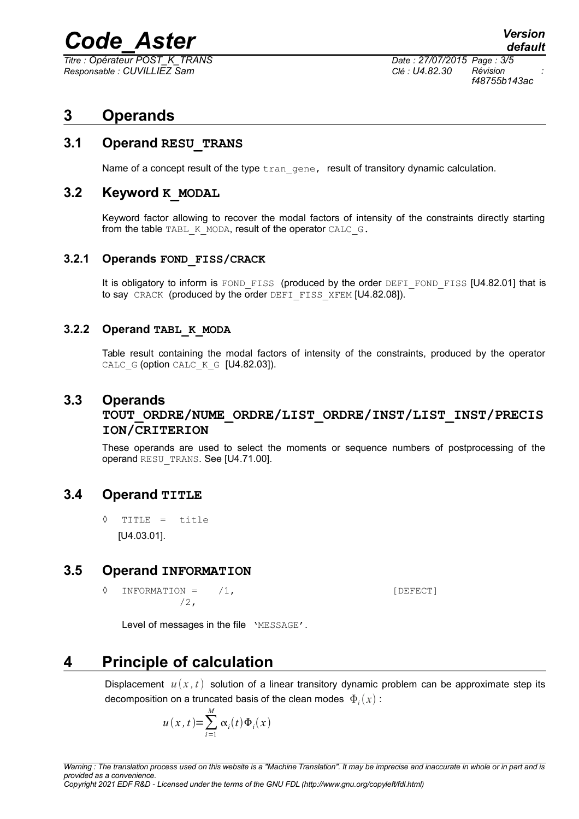*Titre : Opérateur POST\_K\_TRANS Date : 27/07/2015 Page : 3/5 Responsable : CUVILLIEZ Sam Clé : U4.82.30 Révision :*

*f48755b143ac*

## **3 Operands**

#### **3.1 Operand RESU\_TRANS**

Name of a concept result of the type  $tran$  gene, result of transitory dynamic calculation.

#### **3.2 Keyword K\_MODAL**

Keyword factor allowing to recover the modal factors of intensity of the constraints directly starting from the table TABL\_K\_MODA, result of the operator CALC\_G.

#### **3.2.1 Operands FOND\_FISS/CRACK**

It is obligatory to inform is FOND FISS (produced by the order DEFI\_FOND\_FISS [U4.82.01] that is to say CRACK (produced by the order DEFI FISS XFEM [U4.82.08]).

#### **3.2.2 Operand TABL\_K\_MODA**

Table result containing the modal factors of intensity of the constraints, produced by the operator CALC\_G (option CALC\_K\_G [U4.82.03]).

#### **3.3 Operands**

#### **TOUT\_ORDRE/NUME\_ORDRE/LIST\_ORDRE/INST/LIST\_INST/PRECIS ION/CRITERION**

These operands are used to select the moments or sequence numbers of postprocessing of the operand RESU TRANS. See [U4.71.00].

#### **3.4 Operand TITLE**

◊ TITLE = title [U4.03.01].

#### **3.5 Operand INFORMATION**

 $\Diamond$  INFORMATION =  $/1$ ,  $\Box$ /2,

Level of messages in the file 'MESSAGE'.

## **4 Principle of calculation**

Displacement  $u(x, t)$  solution of a linear transitory dynamic problem can be approximate step its decomposition on a truncated basis of the clean modes  $|\Phi_i(x)|$  :

$$
u(x, t) = \sum_{i=1}^{M} \alpha_i(t) \Phi_i(x)
$$

*Copyright 2021 EDF R&D - Licensed under the terms of the GNU FDL (http://www.gnu.org/copyleft/fdl.html)*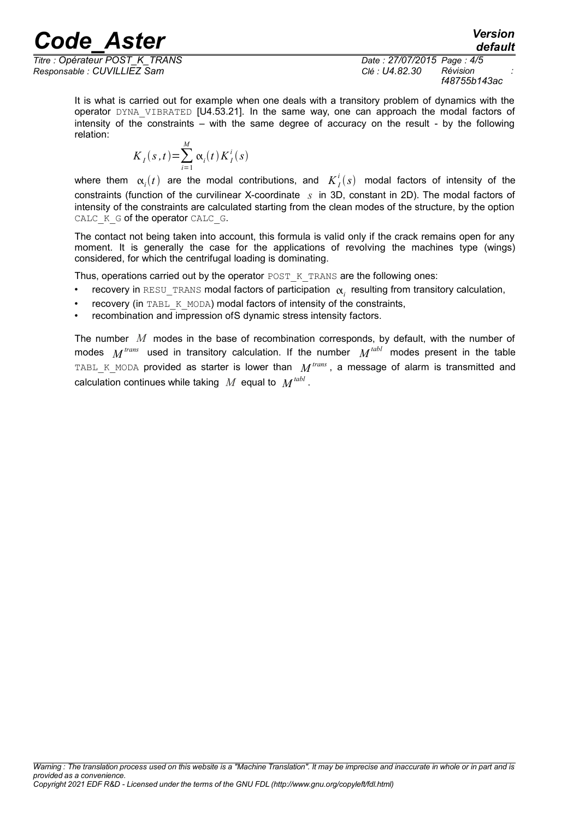*Responsable : CUVILLIEZ Sam Clé : U4.82.30 Révision :*

*Titre : Opérateur POST\_K\_TRANS Date : 27/07/2015 Page : 4/5 f48755b143ac*

*default*

It is what is carried out for example when one deals with a transitory problem of dynamics with the operator DYNA VIBRATED [U4.53.21]. In the same way, one can approach the modal factors of intensity of the constraints – with the same degree of accuracy on the result - by the following relation:

$$
K_I(s,t) = \sum_{i=1}^M \alpha_i(t) K_I^i(s)
$$

where them  $\alpha_i(t)$  are the modal contributions, and  $K_I^i(s)$  modal factors of intensity of the constraints (function of the curvilinear X-coordinate *s* in 3D, constant in 2D). The modal factors of intensity of the constraints are calculated starting from the clean modes of the structure, by the option CALC\_K\_G of the operator CALC\_G.

The contact not being taken into account, this formula is valid only if the crack remains open for any moment. It is generally the case for the applications of revolving the machines type (wings) considered, for which the centrifugal loading is dominating.

Thus, operations carried out by the operator POST\_K\_TRANS are the following ones:

- $\;$  recovery in <code>RESU\_TRANS</code> modal factors of participation  $\; \alpha_i \;$  resulting from transitory calculation,
- recovery (in TABL K\_MODA) modal factors of intensity of the constraints,
- recombination and impression of S dynamic stress intensity factors.

The number *M* modes in the base of recombination corresponds, by default, with the number of modes  $M^{trans}$  used in transitory calculation. If the number  $M^{tabl}$  modes present in the table  $\texttt{TABLE\_K\_MODA}$  provided as starter is lower than  $\textit{M}^{\textit{trans}}$ , a message of alarm is transmitted and calculation continues while taking  $\ M$  equal to  $\ M^{tabl}$  .